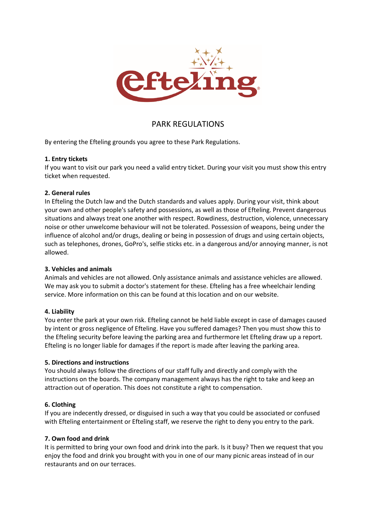

# PARK REGULATIONS

By entering the Efteling grounds you agree to these Park Regulations.

# **1. Entry tickets**

If you want to visit our park you need a valid entry ticket. During your visit you must show this entry ticket when requested.

# **2. General rules**

In Efteling the Dutch law and the Dutch standards and values apply. During your visit, think about your own and other people's safety and possessions, as well as those of Efteling. Prevent dangerous situations and always treat one another with respect. Rowdiness, destruction, violence, unnecessary noise or other unwelcome behaviour will not be tolerated. Possession of weapons, being under the influence of alcohol and/or drugs, dealing or being in possession of drugs and using certain objects, such as telephones, drones, GoPro's, selfie sticks etc. in a dangerous and/or annoying manner, is not allowed.

## **3. Vehicles and animals**

Animals and vehicles are not allowed. Only assistance animals and assistance vehicles are allowed. We may ask you to submit a doctor's statement for these. Efteling has a free wheelchair lending service. More information on this can be found at this location and on our website.

#### **4. Liability**

You enter the park at your own risk. Efteling cannot be held liable except in case of damages caused by intent or gross negligence of Efteling. Have you suffered damages? Then you must show this to the Efteling security before leaving the parking area and furthermore let Efteling draw up a report. Efteling is no longer liable for damages if the report is made after leaving the parking area.

#### **5. Directions and instructions**

You should always follow the directions of our staff fully and directly and comply with the instructions on the boards. The company management always has the right to take and keep an attraction out of operation. This does not constitute a right to compensation.

#### **6. Clothing**

If you are indecently dressed, or disguised in such a way that you could be associated or confused with Efteling entertainment or Efteling staff, we reserve the right to deny you entry to the park.

#### **7. Own food and drink**

It is permitted to bring your own food and drink into the park. Is it busy? Then we request that you enjoy the food and drink you brought with you in one of our many picnic areas instead of in our restaurants and on our terraces.